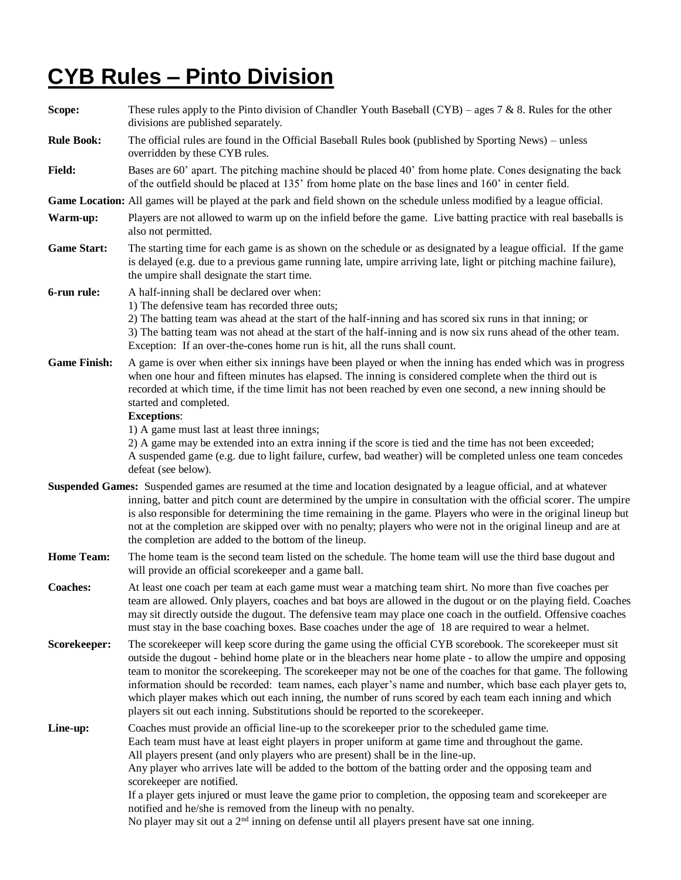## **CYB Rules – Pinto Division**

**Scope:** These rules apply to the Pinto division of Chandler Youth Baseball (CYB) – ages 7 & 8. Rules for the other divisions are published separately. **Rule Book:** The official rules are found in the Official Baseball Rules book (published by Sporting News) – unless overridden by these CYB rules. **Field:** Bases are 60' apart. The pitching machine should be placed 40' from home plate. Cones designating the back of the outfield should be placed at 135' from home plate on the base lines and 160' in center field. **Game Location:** All games will be played at the park and field shown on the schedule unless modified by a league official. **Warm-up:** Players are not allowed to warm up on the infield before the game. Live batting practice with real baseballs is also not permitted. **Game Start:** The starting time for each game is as shown on the schedule or as designated by a league official. If the game is delayed (e.g. due to a previous game running late, umpire arriving late, light or pitching machine failure), the umpire shall designate the start time. **6-run rule:** A half-inning shall be declared over when: 1) The defensive team has recorded three outs; 2) The batting team was ahead at the start of the half-inning and has scored six runs in that inning; or 3) The batting team was not ahead at the start of the half-inning and is now six runs ahead of the other team. Exception: If an over-the-cones home run is hit, all the runs shall count. **Game Finish:** A game is over when either six innings have been played or when the inning has ended which was in progress when one hour and fifteen minutes has elapsed. The inning is considered complete when the third out is recorded at which time, if the time limit has not been reached by even one second, a new inning should be started and completed. **Exceptions**: 1) A game must last at least three innings; 2) A game may be extended into an extra inning if the score is tied and the time has not been exceeded; A suspended game (e.g. due to light failure, curfew, bad weather) will be completed unless one team concedes defeat (see below). **Suspended Games:** Suspended games are resumed at the time and location designated by a league official, and at whatever inning, batter and pitch count are determined by the umpire in consultation with the official scorer. The umpire is also responsible for determining the time remaining in the game. Players who were in the original lineup but not at the completion are skipped over with no penalty; players who were not in the original lineup and are at the completion are added to the bottom of the lineup. **Home Team:** The home team is the second team listed on the schedule. The home team will use the third base dugout and will provide an official scorekeeper and a game ball. **Coaches:** At least one coach per team at each game must wear a matching team shirt. No more than five coaches per team are allowed. Only players, coaches and bat boys are allowed in the dugout or on the playing field. Coaches may sit directly outside the dugout. The defensive team may place one coach in the outfield. Offensive coaches must stay in the base coaching boxes. Base coaches under the age of 18 are required to wear a helmet. **Scorekeeper:** The scorekeeper will keep score during the game using the official CYB scorebook. The scorekeeper must sit outside the dugout - behind home plate or in the bleachers near home plate - to allow the umpire and opposing team to monitor the scorekeeping. The scorekeeper may not be one of the coaches for that game. The following information should be recorded: team names, each player's name and number, which base each player gets to, which player makes which out each inning, the number of runs scored by each team each inning and which players sit out each inning. Substitutions should be reported to the scorekeeper. Line-up: Coaches must provide an official line-up to the scorekeeper prior to the scheduled game time. Each team must have at least eight players in proper uniform at game time and throughout the game. All players present (and only players who are present) shall be in the line-up. Any player who arrives late will be added to the bottom of the batting order and the opposing team and scorekeeper are notified. If a player gets injured or must leave the game prior to completion, the opposing team and scorekeeper are notified and he/she is removed from the lineup with no penalty. No player may sit out a  $2<sup>nd</sup>$  inning on defense until all players present have sat one inning.